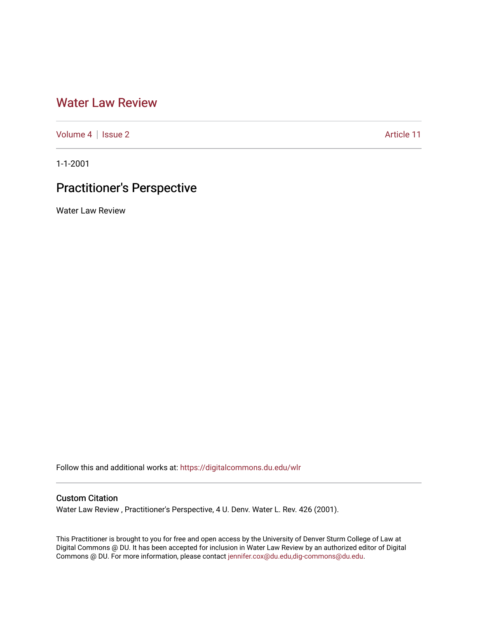# [Water Law Review](https://digitalcommons.du.edu/wlr)

[Volume 4](https://digitalcommons.du.edu/wlr/vol4) | [Issue 2](https://digitalcommons.du.edu/wlr/vol4/iss2) Article 11

1-1-2001

# Practitioner's Perspective

Water Law Review

Follow this and additional works at: [https://digitalcommons.du.edu/wlr](https://digitalcommons.du.edu/wlr?utm_source=digitalcommons.du.edu%2Fwlr%2Fvol4%2Fiss2%2F11&utm_medium=PDF&utm_campaign=PDFCoverPages) 

# Custom Citation

Water Law Review , Practitioner's Perspective, 4 U. Denv. Water L. Rev. 426 (2001).

This Practitioner is brought to you for free and open access by the University of Denver Sturm College of Law at Digital Commons @ DU. It has been accepted for inclusion in Water Law Review by an authorized editor of Digital Commons @ DU. For more information, please contact [jennifer.cox@du.edu,dig-commons@du.edu.](mailto:jennifer.cox@du.edu,dig-commons@du.edu)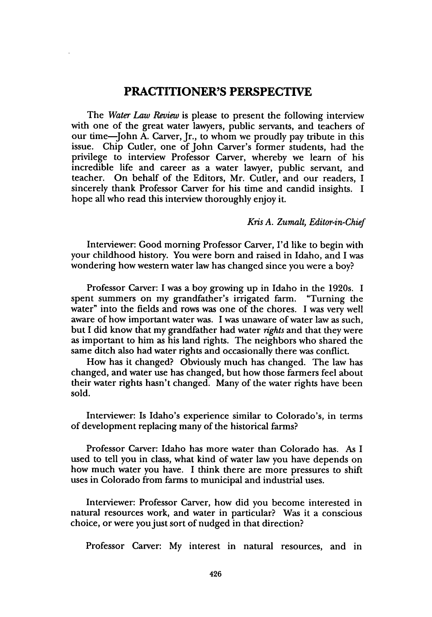## **PRACTITIONER'S PERSPECTIVE**

The *Water Law Review* is please to present the following interview with one of the great water lawyers, public servants, and teachers of our time-John A. Carver, Jr., to whom we proudly pay tribute in this issue. Chip Cutler, one of John Carver's former students, had the privilege to interview Professor Carver, whereby we learn of his incredible life and career as a water lawyer, public servant, and teacher. On behalf of the Editors, Mr. Cutler, and our readers, I sincerely thank Professor Carver for his time and candid insights. I hope all who read this interview thoroughly enjoy it.

#### *Kris A. Zumalt, Editor-in-Chief*

Interviewer: Good morning Professor Carver, I'd like to begin with your childhood history. You were born and raised in Idaho, and I was wondering how western water law has changed since you were a boy?

Professor Carver: I was a boy growing up in Idaho in the 1920s. I spent summers on my grandfather's irrigated farm. "Turning the water" into the fields and rows was one of the chores. I was very well aware of how important water was. I was unaware of water law as such, but I did know that my grandfather had water *rights* and that they were as important to him as his land rights. The neighbors who shared the same ditch also had water rights and occasionally there was conflict.

How has it changed? Obviously much has changed. The law has changed, and water use has changed, but how those farmers feel about their water rights hasn't changed. Many of the water rights have been sold.

Interviewer: Is Idaho's experience similar to Colorado's, in terms of development replacing many of the historical farms?

Professor Carver: Idaho has more water than Colorado has. As I used to tell you in class, what kind of water law you have depends on how much water you have. I think there are more pressures to shift uses in Colorado from farms to municipal and industrial uses.

Interviewer: Professor Carver, how did you become interested in natural resources work, and water in particular? Was it a conscious choice, or were you just sort of nudged in that direction?

Professor Carver: My interest in natural resources, and in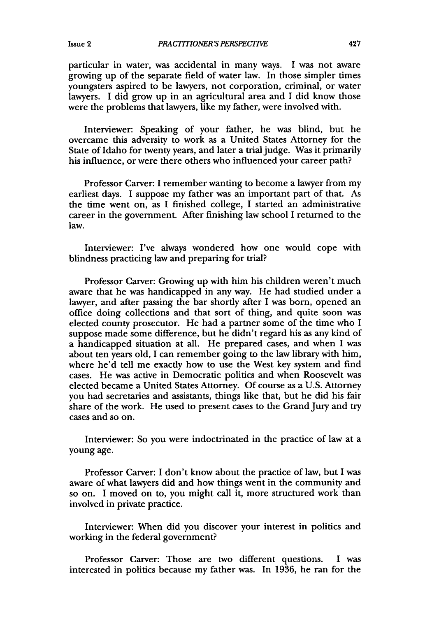particular in water, was accidental in many ways. I was not aware growing up of the separate field of water law. In those simpler times youngsters aspired to be lawyers, not corporation, criminal, or water lawyers. I did grow up in an agricultural area and I did know those were the problems that lawyers, like my father, were involved with.

Interviewer: Speaking of your father, he was blind, but he overcame this adversity to work as a United States Attorney for the State of Idaho for twenty years, and later a trial judge. Was it primarily his influence, or were there others who influenced your career path?

Professor Carver: I remember wanting to become a lawyer from my earliest days. I suppose my father was an important part of that. As the time went on, as **I** finished college, I started an administrative career in the government. After finishing law school I returned to the law.

Interviewer: I've always wondered how one would cope with blindness practicing law and preparing for trial?

Professor Carver: Growing up with him his children weren't much aware that he was handicapped in any way. He had studied under a lawyer, and after passing the bar shortly after I was born, opened an office doing collections and that sort of thing, and quite soon was elected county prosecutor. He had a partner some of the time who I suppose made some difference, but he didn't regard his as any kind of a handicapped situation at all. He prepared cases, and when I was about ten years old, I can remember going to the law library with him, where he'd tell me exactly how to use the West key system and find cases. He was active in Democratic politics and when Roosevelt was elected became a United States Attorney. Of course as a U.S. Attorney you had secretaries and assistants, things like that, but he did his fair share of the work. He used to present cases to the Grand Jury and try cases and so on.

Interviewer: So you were indoctrinated in the practice of law at a young age.

Professor Carver: I don't know about the practice of law, but I was aware of what lawyers did and how things went in the community and so on. I moved on to, you might call it, more structured work than involved in private practice.

Interviewer: When did you discover your interest in politics and working in the federal government?

Professor Carver: Those are two different questions. I was interested in politics because my father was. In 1936, he ran for the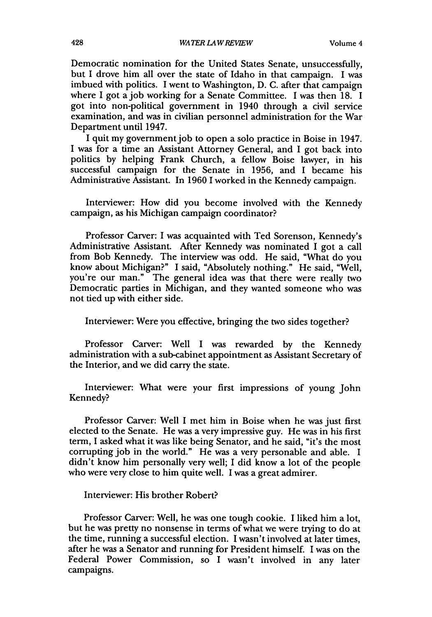Democratic nomination for the United States Senate, unsuccessfully, but I drove him all over the state of Idaho in that campaign. I was imbued with politics. I went to Washington, D. C. after that campaign where I got a job working for a Senate Committee. I was then 18. I got into non-political government in 1940 through a civil service examination, and was in civilian personnel administration for the War Department until 1947.

I quit my governmentjob to open a solo practice in Boise in 1947. I was for a time an Assistant Attorney General, and I got back into politics by helping Frank Church, a fellow Boise lawyer, in his successful campaign for the Senate in 1956, and I became his Administrative Assistant. In 1960 **1** worked in the Kennedy campaign.

Interviewer: How did you become involved with the Kennedy campaign, as his Michigan campaign coordinator?

Professor Carver: I was acquainted with Ted Sorenson, Kennedy's Administrative Assistant. After Kennedy was nominated I got a call from Bob Kennedy. The interview was odd. He said, "What do you know about Michigan?" I said, "Absolutely nothing." He said, "Well, you're our man." The general idea was that there were really two Democratic parties in Michigan, and they wanted someone who was not tied up with either side.

Interviewer: Were you effective, bringing the two sides together?

Professor Carver: Well I was rewarded by the Kennedy administration with a sub-cabinet appointment as Assistant Secretary of the Interior, and we did carry the state.

Interviewer: What were your first impressions of young John Kennedy?

Professor Carver: Well I met him in Boise when he was just first elected to the Senate. He was a very impressive guy. He was in his first term, I asked what it was like being Senator, and he said, "it's the most corrupting job in the world." He was a very personable and able. I didn't know him personally very well; I did know a lot of the people who were very close to him quite well. I was a great admirer.

Interviewer: His brother Robert?

Professor Carver: Well, he was one tough cookie. I liked him a lot, but he was pretty no nonsense in terms of what we were trying to do at the time, running a successful election. I wasn't involved at later times, after he was a Senator and running for President himself. I was on the Federal Power Commission, so I wasn't involved in any later campaigns.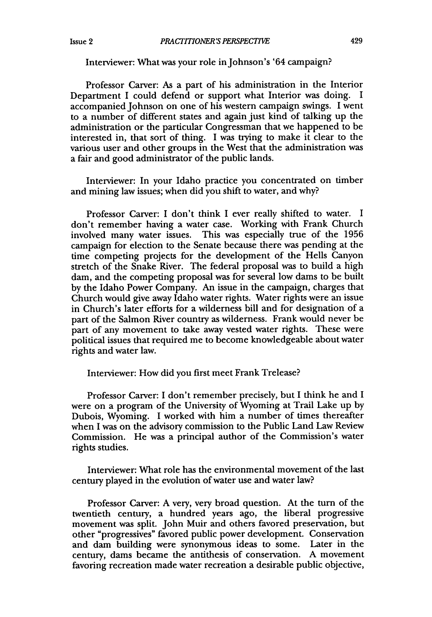### Interviewer: What was your role in Johnson's '64 campaign?

Professor Carver: As a part of his administration in the Interior Department I could defend or support what Interior was doing. I accompanied Johnson on one of his western campaign swings. I went to a number of different states and again just kind of talking up the administration or the particular Congressman that we happened to be interested in, that sort of thing. I was trying to make it clear to the various user and other groups in the West that the administration was a fair and good administrator of the public lands.

Interviewer: In your Idaho practice you concentrated on timber and mining law issues; when did you shift to water, and why?

Professor Carver: I don't think I ever really shifted to water. I don't remember having a water case. Working with Frank Church involved many water issues. This was especially true of the 1956 campaign for election to the Senate because there was pending at the time competing projects for the development of the Hells Canyon stretch of the Snake River. The federal proposal was to build a high dam, and the competing proposal was for several low dams to be built by the Idaho Power Company. An issue in the campaign, charges that Church would give away Idaho water rights. Water rights were an issue in Church's later efforts for a wilderness bill and for designation of a part of the Salmon River country as wilderness. Frank would never be part of any movement to take away vested water rights. These were political issues that required me to become knowledgeable about water rights and water law.

#### Interviewer: How did you first meet Frank Trelease?

Professor Carver: I don't remember precisely, but I think he and I were on a program of the University of Wyoming at Trail Lake up by Dubois, Wyoming. I worked with him a number of times thereafter when I was on the advisory commission to the Public Land Law Review Commission. He was a principal author of the Commission's water rights studies.

Interviewer: What role has the environmental movement of the last century played in the evolution of water use and water law?

Professor Carver: **A** very, very broad question. At the turn of the twentieth century, a hundred years ago, the liberal progressive movement was split. John Muir and others favored preservation, but other "progressives" favored public power development. Conservation and dam building were synonymous ideas to some. Later in the century, dams became the antithesis of conservation. **A** movement favoring recreation made water recreation a desirable public objective,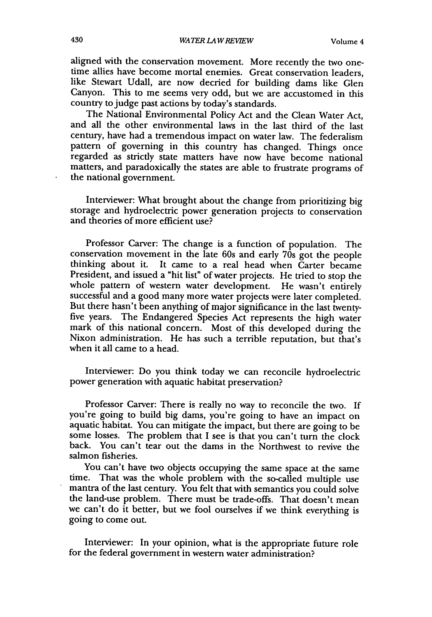aligned with the conservation movement. More recently the two onetime allies have become mortal enemies. Great conservation leaders, like Stewart Udall, are now decried for building dams like Glen Canyon. This to me seems very odd, but we are accustomed in this country to judge past actions **by** today's standards.

The National Environmental Policy Act and the Clean Water Act, and all the other environmental laws in the last third of the last century, have had a tremendous impact on water law. The federalism pattern of governing in this country has changed. Things once regarded as strictly state matters have now have become national matters, and paradoxically the states are able to frustrate programs of the national government.

Interviewer: What brought about the change from prioritizing big storage and hydroelectric power generation projects to conservation and theories of more efficient use?

Professor Carver: The change is a function of population. The conservation movement in the late 60s and early  $70s$  got the people thinking about it. It came to a real head when Carter became President, and issued a "hit list" of water projects. He tried to stop the whole pattern of western water development. He wasn't entirely successful and a good many more water projects were later completed. But there hasn't been anything of major significance in the last twentyfive years. The Endangered Species Act represents the high water mark of this national concern. Most of this developed during the Nixon administration. He has such a terrible reputation, but that's when it all came to a head.

Interviewer: Do you think today we can reconcile hydroelectric power generation with aquatic habitat preservation?

Professor Carver: There is really no way to reconcile the two. **If** you're going to build big dams, you're going to have an impact on aquatic habitat. You can mitigate the impact, but there are going to be some losses. The problem that I see is that you can't turn the clock back. You can't tear out the dams in the Northwest to revive the salmon fisheries.

You can't have two objects occupying the same space at the same time. That was the whole problem with the so-called multiple use mantra of the last century. You felt that with semantics you could solve the land-use problem. There must be trade-offs. That doesn't mean we can't do it better, but we fool ourselves if we think everything is going to come out.

Interviewer: In your opinion, what is the appropriate future role for the federal government in western water administration?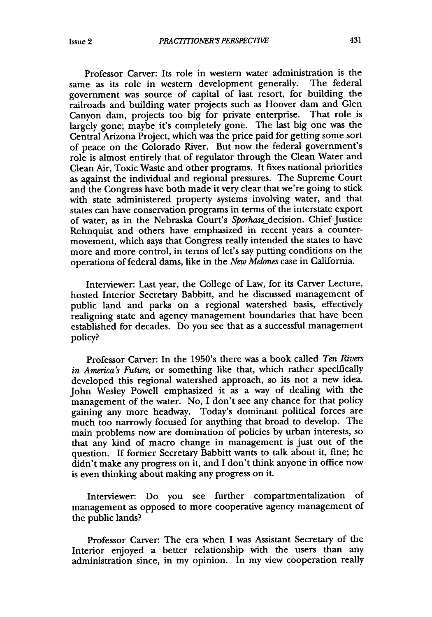Professor Carver: Its role in western water administration is the as its role in western development generally. The federal same as its role in western development generally. government was source of capital of last resort, for building the railroads and building water projects such as Hoover dam and Glen Canyon dam, projects too big for private enterprise. That role is largely gone; maybe it's completely gone. The last big one was the Central Arizona Project, which was the price paid for getting some sort of peace on the Colorado River. But now the federal government's role is almost entirely that of regulator through the Clean Water and Clean Air, Toxic Waste and other programs. It fixes national priorities as against the individual and regional pressures. The Supreme Court and the Congress have both made it very clear that we're going to stick with state administered property systems involving water, and that states can have conservation programs in terms of the interstate export of water, as in the Nebraska Court's Sporhase\_decision. Chief Justice Rehnquist and others have emphasized in recent years a countermovement, which says that Congress really intended the states to have more and more control, in terms of let's say putting conditions on the operations of federal dams, like in the *New Melones* case in California.

Interviewer: Last year, the College of Law, for its Carver Lecture, hosted Interior Secretary Babbitt, and he discussed management of public land and parks on a regional watershed basis, effectively realigning state and agency management boundaries that have been established for decades. Do you see that as a successful management policy?

Professor Carver: In the 1950's there was a book called *Ten Rivers in America's Future,* or something like that, which rather specifically developed this regional watershed approach, so its not a new idea. John Wesley Powell emphasized it as a way of dealing with the management of the water. No, I don't see any chance for that policy gaining any more headway. Today's dominant political forces are **much** too narrowly focused for anything that broad to develop. The main problems now are domination of policies **by** urban interests, so that any kind of macro change in management is just out of the question. If former Secretary Babbitt wants to talk about it, fine; he didn't make any progress on it, and **I** don't think anyone in office now is even thinking about making any progress on it.

Interviewer: Do you see further compartmentalization of management as opposed to more cooperative agency management of the public lands?

Professor Carver: The era when I was Assistant Secretary of the Interior enjoyed a better relationship with the users than any administration since, in my opinion. In my view cooperation really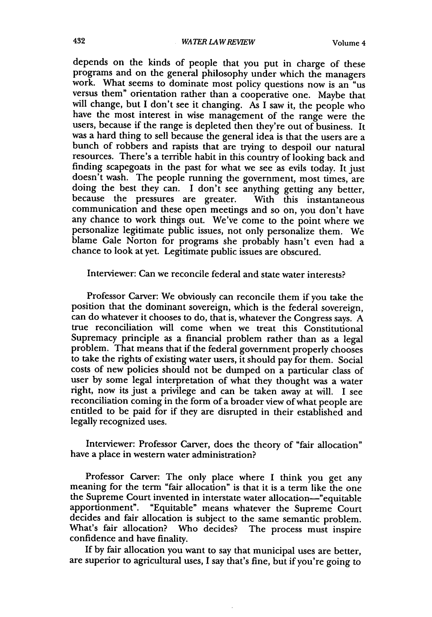depends on the kinds of people that you put in charge of these programs and on the general philosophy under which the managers work. What seems to dominate most policy questions now is an "us versus them" orientation rather than a cooperative one. Maybe that will change, but I don't see it changing. As I saw it, the people who have the most interest in wise management of the range were the users, because if the range is depleted then they're out of business. It was a hard thing to sell because the general idea is that the users are a bunch of robbers and rapists that are trying to despoil our natural resources. There's a terrible habit in this country of looking back and finding scapegoats in the past for what we see as evils today. It just doesn't wash. The people running the government, most times, are doing the best they can. I don't see anything getting any better, because the pressures are greater. With this instantaneous communication and these open meetings and so on, you don't have any chance to work things out. We've come to the point where we personalize legitimate public issues, not only personalize them. We blame Gale Norton for programs she probably hasn't even had a chance to look at yet. Legitimate public issues are obscured.

Interviewer: Can we reconcile federal and state water interests?

Professor Carver: We obviously can reconcile them if you take the position that the dominant sovereign, which is the federal sovereign, can do whatever it chooses to do, that is, whatever the Congress says. A true reconciliation will come when we treat this Constitutional Supremacy principle as a financial problem rather than as a legal problem. That means that if the federal government properly chooses to take the rights of existing water users, it should pay for them. Social costs of new policies should not be dumped on a particular class of user by some legal interpretation of what they thought was a water right, now its just a privilege and can be taken away at will. I see reconciliation coming in the form of a broader view of what people are entitled to be paid for if they are disrupted in their established and legally recognized uses.

Interviewer: Professor Carver, does the theory of "fair allocation" have a place in western water administration?

Professor Carver: The only place where I think you get any meaning for the term "fair allocation" is that it is a term like the one the Supreme Court invented in interstate water allocation-"equitable apportionment". "Equitable" means whatever the Supreme Court decides and fair allocation is subject to the same semantic problem. What's fair allocation? Who decides? The process must inspire confidence and have finality.

If by fair allocation you want to say that municipal uses are better, are superior to agricultural uses, I say that's fine, but if you're going to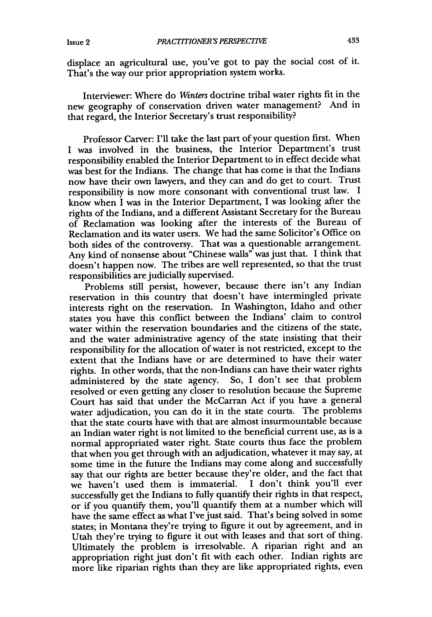displace an agricultural use, you've got to pay the social cost of it. That's the way our prior appropriation system works.

Interviewer: Where do *Winters* doctrine tribal water rights fit in the new geography of conservation driven water management? And in that regard, the Interior Secretary's trust responsibility?

Professor Carver: I'll take the last part of your question first. When I was involved in the business, the Interior Department's trust responsibility enabled the Interior Department to in effect decide what was best for the Indians. The change that has come is that the Indians now have their own lawyers, and they can and do get to court. Trust responsibility is now more consonant with conventional trust law. **I** know when I was in the Interior Department, I was looking after the rights of the Indians, and a different Assistant Secretary for the Bureau of Reclamation was looking after the interests of the Bureau of Reclamation and its water users. We had the same Solicitor's Office on both sides of the controversy. That was a questionable arrangement. Any kind of nonsense about "Chinese walls" was just that. I think that doesn't happen now. The tribes are well represented, so that the trust responsibilities are judicially supervised.

Problems still persist, however, because there isn't any Indian reservation in this country that doesn't have intermingled private interests right on the reservation. In Washington, Idaho and other states you have this conflict between the Indians' claim to control water within the reservation boundaries and the citizens of the state, and the water administrative agency of the state insisting that their responsibility for the allocation of water is not restricted, except to the extent that the Indians have or are determined to have their water rights. In other words, that the non-Indians can have their water rights administered **by** the state agency. So, **I** don't see that problem resolved or even getting any closer to resolution because the Supreme Court has said that under the McCarran Act if you have a general water adjudication, you can do it in the state courts. The problems that the state courts have with that are almost insurmountable because an Indian water right is not limited to the beneficial current use, as is a normal appropriated water right. State courts thus face the problem that when you get through with an adjudication, whatever it may say, at some time in the future the Indians may come along and successfully say that our rights are better because they're older, and the fact that we haven't used them is immaterial. I don't think you'll ever successfully get the Indians to fully quantify their rights in that respect, or if you quantify them, you'll quantify them at a number which will have the same effect as what I've just said. That's being solved in some states; in Montana they're trying to figure it out by agreement, and in Utah they're trying to figure it out with leases and that sort of thing. Ultimately the problem is irresolvable. A riparian right and an appropriation right just don't fit with each other. Indian rights are more like riparian rights than they are like appropriated rights, even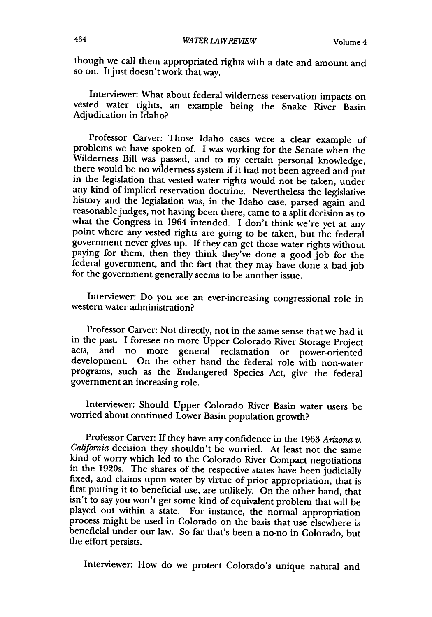though we call them appropriated rights with a date and amount and so on. It just doesn't work that way.

Interviewer: What about federal wilderness reservation impacts on vested water rights, an example being the Snake River Basin Adjudication in Idaho?

Professor Carver: Those Idaho cases were a clear example of problems we have spoken of. I was working for the Senate when the Wilderness Bill was passed, and to my certain personal knowledge, there would be no wilderness system if it had not been agreed and put in the legislation that vested water rights would not be taken, under any kind of impl history and the legislation was, in the Idaho case, parsed again and reasonable judges, not having been there, came to a split decision as to what the Congress in 1964 intended. I don't think we're yet at any point where any vested rights are going to be taken, but the federal government never gives up. If they can get those water rights without paying for them, then they think they've done a good **job** for the federal government, and the fact that they may have done a bad job for the government generally seems to be another issue.

Interviewer: Do you see an ever-increasing congressional role in western water administration?

Professor Carver: Not directly, not in the same sense that we had it in the past. I foresee no more Upper Colorado River Storage Project acts, and no more general reclamation or power-oriented development. On the other hand the federal role with non-water programs, such as the Endangered Species Act, give the federal government an increasing role.

Interviewer: Should Upper Colorado River Basin water users be worried about continued Lower Basin population growth?

Professor Carver: If they have any confidence in the **1963** *Arizona v. California* decision they shouldn't be worried. At least not the same kind of worry which led to the Colorado River Compact negotiations in the 1920s. The shares of the respective states have been judicially fixed, and claims upon water by virtue of prior appropriation, that is first putting it to beneficial use, are unlikely. On the other hand, that isn't to say you won't get some kind of equivalent problem that will be played out within a state. For instance, the normal appropriation process might **be** used in Colorado on the basis that use elsewhere is beneficial under our law. So far that's been a no-no in Colorado, but the effort persists.

Interviewer: How do we protect Colorado's unique natural and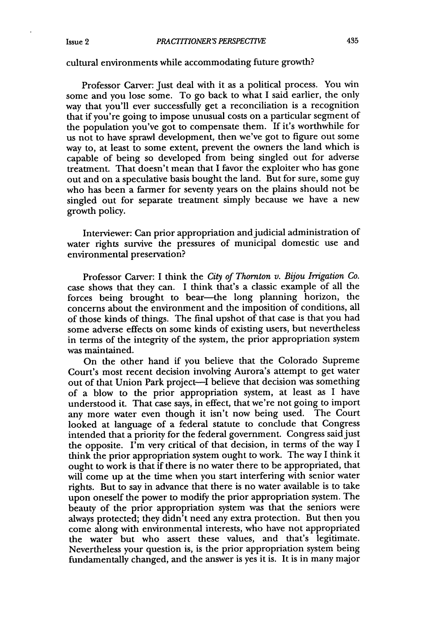### cultural environments while accommodating future growth?

Professor Carver: Just deal with it as a political process. You win some and you lose some. To go back to what I said earlier, the only way that you'll ever successfully get a reconciliation is a recognition that if you're going to impose unusual costs on a particular segment of the population you've got to compensate them. If it's worthwhile for us not to have sprawl development, then we've got to figure out some way to, at least to some extent, prevent the owners the land which is capable of being so developed from being singled out for adverse treatment. That doesn't mean that I favor the exploiter who has gone out and on a speculative basis bought the land. But for sure, some guy who has been a farmer for seventy years on the plains should not be singled out for separate treatment simply because we have a new growth policy.

Interviewer: Can prior appropriation and judicial administration of water rights survive the pressures of municipal domestic use and environmental preservation?

Professor Carver: I think the *City of Thornton v. Bijou Irrigation Co.* case shows that they can. I think that's a classic example of all the forces being brought to bear-the long planning horizon, the concerns about the environment and the imposition of conditions, all of those kinds of things. The final upshot of that case is that you had some adverse effects on some kinds of existing users, but nevertheless in terms of the integrity of the system, the prior appropriation system was maintained.

On the other hand if you believe that the Colorado Supreme Court's most recent decision involving Aurora's attempt to get water out of that Union Park project-I believe that decision was something of a blow to the prior appropriation system, at least as I have understood it. That case says, in effect, that we're not going to import any more water even though it isn't now being used. The Court looked at language of a federal statute to conclude that Congress intended that a priority for the federal government. Congress said just the opposite. I'm very critical of that decision, in terms of the way I think the prior appropriation system ought to work. The way I think it ought to work is that if there is no water there to be appropriated, that will come up at the time when you start interfering with senior water rights. But to say in advance that there is no water available is to take upon oneself the power to modify the prior appropriation system. The beauty of the prior appropriation system was that the seniors were always protected; they didn't need any extra protection. But then you come along with environmental interests, who have not appropriated the water but who assert these values, and that's legitimate. Nevertheless your question is, is the prior appropriation system being fundamentally changed, and the answer is yes it is. It is in many major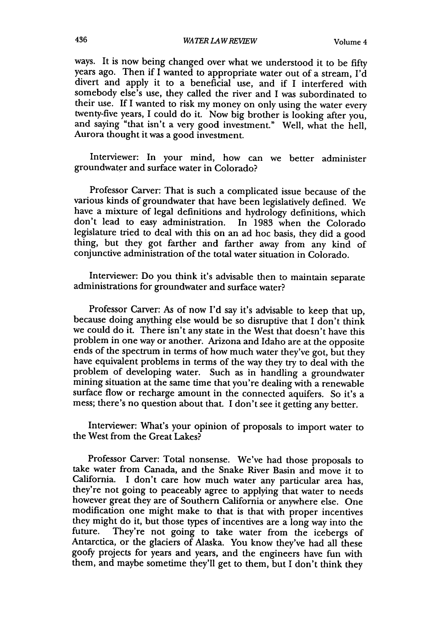ways. It is now being changed over what we understood it to be fifty years ago. Then if I wanted to appropriate water out of a stream, I'd divert and apply it to a beneficial use, and if I interfered with somebody else's use, they called the river and I was subordinated to their use. If I wanted to risk my money on only using the water every twenty-five years, I could do it. Now big brother is looking after you, and saying "that isn't a very good investment." Well, what the hell, Aurora thought it was a good investment.

Interviewer: In your mind, how can we better administer groundwater and surface water in Colorado?

Professor Carver: That is such a complicated issue because of the various kinds of groundwater that have been legislatively defined. We have a mixture of legal definitions and hydrology definitions, which don't lead to easy administration. In 1983 when the Colorado legislature tried to deal with this on an ad hoc basis, they did a good thing, but they got farther and farther away from any kind of conjunctive administration of the total water situation in Colorado.

Interviewer: Do you think it's advisable then to maintain separate administrations for groundwater and surface water?

Professor Carver: As of now I'd say it's advisable to keep that up, because doing anything else would be so disruptive that I don't think we could do it. There isn't any state in the West that doesn't have this problem in one way or another. Arizona and Idaho are at the opposite ends of the spectrum in terms of how much water they've got, but they have equivalent problems in terms of the way they try to deal with the problem of developing water. Such as in handling a groundwater mining situation at the same time that you're dealing with a renewable surface flow or recharge amount in the connected aquifers. So it's a mess; there's no question about that. I don't see it getting any better.

Interviewer: What's your opinion of proposals to import water to the West from the Great Lakes?

Professor Carver: Total nonsense. We've had those proposals to take water from Canada, and the Snake River Basin and move it to California. I don't care how much water any particular area has, they're not going to peaceably agree to applying that water to needs however great they are of Southern California or anywhere else. One modification one might make to that is that with proper incentives they might do it, but those types of incentives are a long way into the future. They're not going to take water from the icebergs of Antarctica, or the glaciers of Alaska. You know they've had all these goofy projects for years and years, and the engineers have fun with them, and maybe sometime they'll get to them, but I don't think they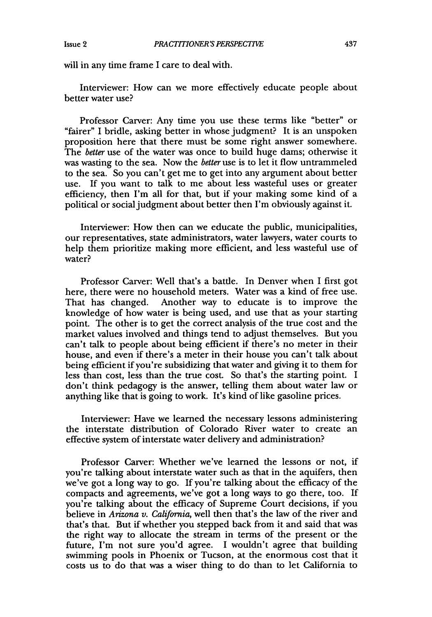will in any time frame I care to deal with.

Interviewer: How can we more effectively educate people about better water use?

Professor Carver: Any time you use these terms like "better" or "fairer" I bridle, asking better in whose judgment? It is an unspoken proposition here that there must be some right answer somewhere. The *better* use of the water was once to build huge dams; otherwise it was wasting to the sea. Now the *better* use is to let it flow untrammeled to the sea. So you can't get me to get into any argument about better use. If you want to talk to me about less wasteful uses or greater efficiency, then I'm all for that, but if your making some kind of a political or social judgment about better then I'm obviously against it.

Interviewer: How then can we educate the public, municipalities, our representatives, state administrators, water lawyers, water courts to help them prioritize making more efficient, and less wasteful use of water?

Professor Carver: Well that's a battle. In Denver when I first got here, there were no household meters. Water was a kind of free use. That has changed. Another way to educate is to improve the knowledge of how water is being used, and use that as your starting point. The other is to get the correct analysis of the true cost and the market values involved and things tend to adjust themselves. But you can't talk to people about being efficient if there's no meter in their house, and even if there's a meter in their house you can't talk about being efficient if you're subsidizing that water and giving it to them for less than cost, less than the true cost. So that's the starting point. I don't think pedagogy is the answer, telling them about water law or anything like that is going to work. It's kind of like gasoline prices.

Interviewer: Have we learned the necessary lessons administering the interstate distribution of Colorado River water to create an effective system of interstate water delivery and administration?

Professor Carver: Whether we've learned the lessons or not, if you're talking about interstate water such as that in the aquifers, then we've got a long way to go. If you're talking about the efficacy of the compacts and agreements, we've got a long ways to go there, too. If you're talking about the efficacy of Supreme Court decisions, if you believe in *Arizona v. California,* well then that's the law of the river and that's that. But if whether you stepped back from it and said that was the right way to allocate the stream in terms of the present or the future, I'm not sure you'd agree. I wouldn't agree that building swimming pools in Phoenix or Tucson, at the enormous cost that it costs us to do that was a wiser thing to do than to let California to